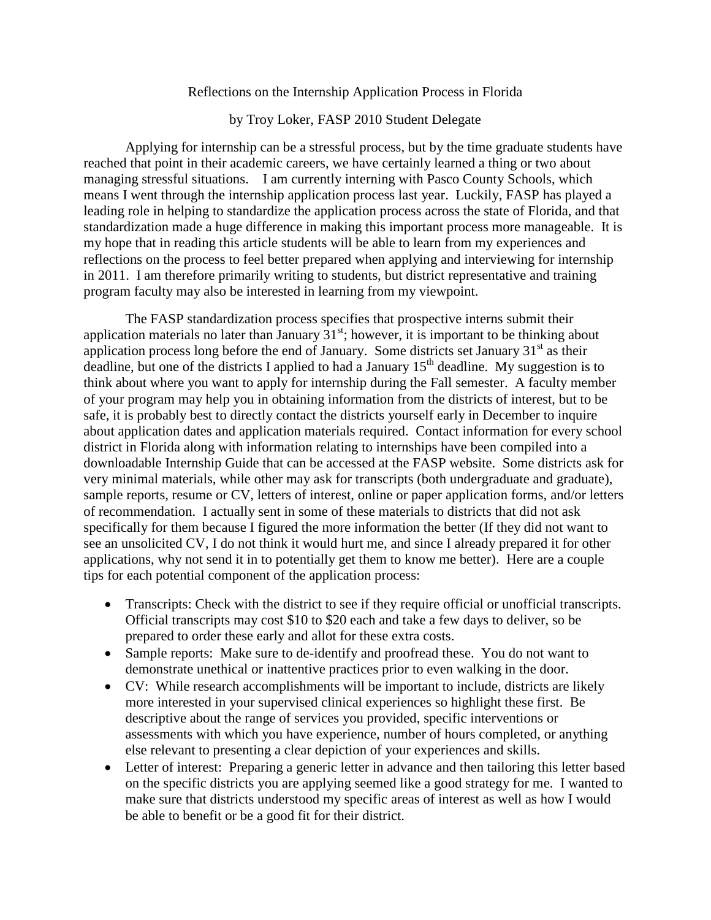## Reflections on the Internship Application Process in Florida

by Troy Loker, FASP 2010 Student Delegate

Applying for internship can be a stressful process, but by the time graduate students have reached that point in their academic careers, we have certainly learned a thing or two about managing stressful situations. I am currently interning with Pasco County Schools, which means I went through the internship application process last year. Luckily, FASP has played a leading role in helping to standardize the application process across the state of Florida, and that standardization made a huge difference in making this important process more manageable. It is my hope that in reading this article students will be able to learn from my experiences and reflections on the process to feel better prepared when applying and interviewing for internship in 2011. I am therefore primarily writing to students, but district representative and training program faculty may also be interested in learning from my viewpoint.

The FASP standardization process specifies that prospective interns submit their application materials no later than January  $31<sup>st</sup>$ ; however, it is important to be thinking about application process long before the end of January. Some districts set January  $31<sup>st</sup>$  as their deadline, but one of the districts I applied to had a January  $15<sup>th</sup>$  deadline. My suggestion is to think about where you want to apply for internship during the Fall semester. A faculty member of your program may help you in obtaining information from the districts of interest, but to be safe, it is probably best to directly contact the districts yourself early in December to inquire about application dates and application materials required. Contact information for every school district in Florida along with information relating to internships have been compiled into a downloadable Internship Guide that can be accessed at the FASP website. Some districts ask for very minimal materials, while other may ask for transcripts (both undergraduate and graduate), sample reports, resume or CV, letters of interest, online or paper application forms, and/or letters of recommendation. I actually sent in some of these materials to districts that did not ask specifically for them because I figured the more information the better (If they did not want to see an unsolicited CV, I do not think it would hurt me, and since I already prepared it for other applications, why not send it in to potentially get them to know me better). Here are a couple tips for each potential component of the application process:

- Transcripts: Check with the district to see if they require official or unofficial transcripts. Official transcripts may cost \$10 to \$20 each and take a few days to deliver, so be prepared to order these early and allot for these extra costs.
- Sample reports: Make sure to de-identify and proofread these. You do not want to demonstrate unethical or inattentive practices prior to even walking in the door.
- CV: While research accomplishments will be important to include, districts are likely more interested in your supervised clinical experiences so highlight these first. Be descriptive about the range of services you provided, specific interventions or assessments with which you have experience, number of hours completed, or anything else relevant to presenting a clear depiction of your experiences and skills.
- Letter of interest: Preparing a generic letter in advance and then tailoring this letter based on the specific districts you are applying seemed like a good strategy for me. I wanted to make sure that districts understood my specific areas of interest as well as how I would be able to benefit or be a good fit for their district.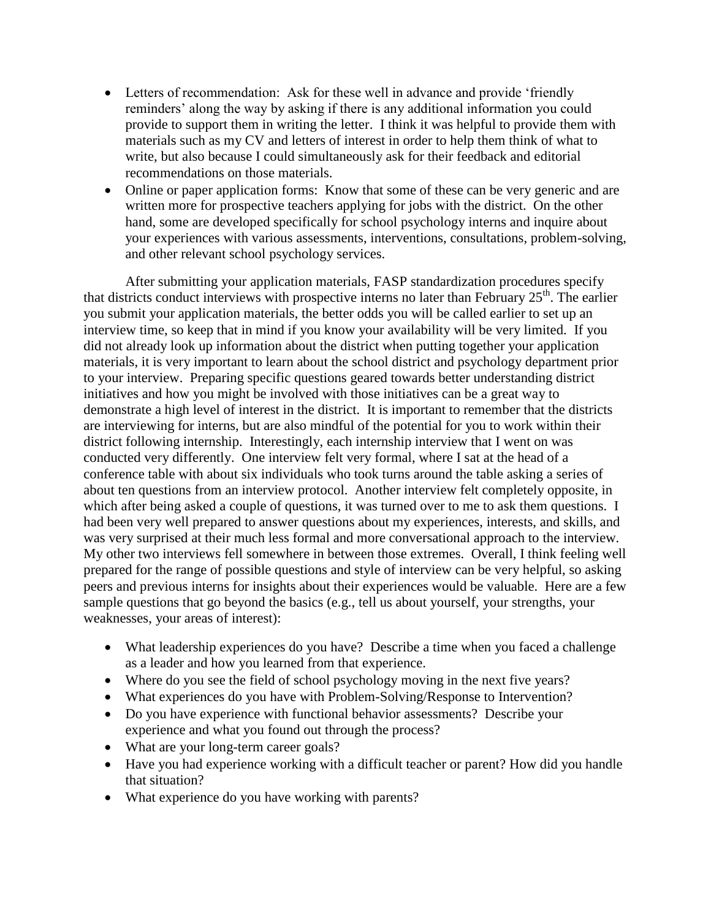- Letters of recommendation: Ask for these well in advance and provide 'friendly reminders' along the way by asking if there is any additional information you could provide to support them in writing the letter. I think it was helpful to provide them with materials such as my CV and letters of interest in order to help them think of what to write, but also because I could simultaneously ask for their feedback and editorial recommendations on those materials.
- Online or paper application forms: Know that some of these can be very generic and are written more for prospective teachers applying for jobs with the district. On the other hand, some are developed specifically for school psychology interns and inquire about your experiences with various assessments, interventions, consultations, problem-solving, and other relevant school psychology services.

After submitting your application materials, FASP standardization procedures specify that districts conduct interviews with prospective interns no later than February  $25<sup>th</sup>$ . The earlier you submit your application materials, the better odds you will be called earlier to set up an interview time, so keep that in mind if you know your availability will be very limited. If you did not already look up information about the district when putting together your application materials, it is very important to learn about the school district and psychology department prior to your interview. Preparing specific questions geared towards better understanding district initiatives and how you might be involved with those initiatives can be a great way to demonstrate a high level of interest in the district. It is important to remember that the districts are interviewing for interns, but are also mindful of the potential for you to work within their district following internship. Interestingly, each internship interview that I went on was conducted very differently. One interview felt very formal, where I sat at the head of a conference table with about six individuals who took turns around the table asking a series of about ten questions from an interview protocol. Another interview felt completely opposite, in which after being asked a couple of questions, it was turned over to me to ask them questions. I had been very well prepared to answer questions about my experiences, interests, and skills, and was very surprised at their much less formal and more conversational approach to the interview. My other two interviews fell somewhere in between those extremes. Overall, I think feeling well prepared for the range of possible questions and style of interview can be very helpful, so asking peers and previous interns for insights about their experiences would be valuable. Here are a few sample questions that go beyond the basics (e.g., tell us about yourself, your strengths, your weaknesses, your areas of interest):

- What leadership experiences do you have? Describe a time when you faced a challenge as a leader and how you learned from that experience.
- Where do you see the field of school psychology moving in the next five years?
- What experiences do you have with Problem-Solving/Response to Intervention?
- Do you have experience with functional behavior assessments? Describe your experience and what you found out through the process?
- What are your long-term career goals?
- Have you had experience working with a difficult teacher or parent? How did you handle that situation?
- What experience do you have working with parents?